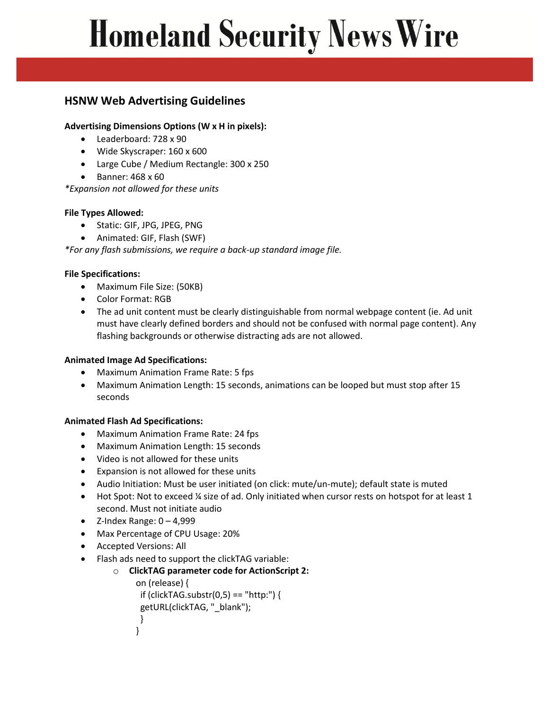# **Homeland Security News Wire**

## **HSNW Web Advertising Guidelines**

### **Advertising Dimensions Options (W x H in pixels):**

- Leaderboard: 728 x 90
- Wide Skyscraper: 160 x 600
- Large Cube / Medium Rectangle: 300 x 250
- $\bullet$  Banner: 468 x 60

*\*Expansion not allowed for these units*

### **File Types Allowed:**

- Static: GIF, JPG, JPEG, PNG
- Animated: GIF, Flash (SWF)

*\*For any flash submissions, we require a back-up standard image file.*

### **File Specifications:**

- Maximum File Size: (50KB)
- Color Format: RGB
- The ad unit content must be clearly distinguishable from normal webpage content (ie. Ad unit must have clearly defined borders and should not be confused with normal page content). Any flashing backgrounds or otherwise distracting ads are not allowed.

### **Animated Image Ad Specifications:**

- Maximum Animation Frame Rate: 5 fps
- Maximum Animation Length: 15 seconds, animations can be looped but must stop after 15 seconds

### **Animated Flash Ad Specifications:**

- Maximum Animation Frame Rate: 24 fps
- Maximum Animation Length: 15 seconds
- Video is not allowed for these units
- Expansion is not allowed for these units
- Audio Initiation: Must be user initiated (on click: mute/un-mute); default state is muted
- Hot Spot: Not to exceed ¼ size of ad. Only initiated when cursor rests on hotspot for at least 1 second. Must not initiate audio
- $\bullet$  Z-Index Range:  $0 4,999$
- Max Percentage of CPU Usage: 20%
- Accepted Versions: All
- Flash ads need to support the clickTAG variable:

```
o ClickTAG parameter code for ActionScript 2:
   on (release) { 
    if (clickTAG.substr(0,5) == "http:") { 
    getURL(clickTAG, "_blank"); 
    } 
   }
```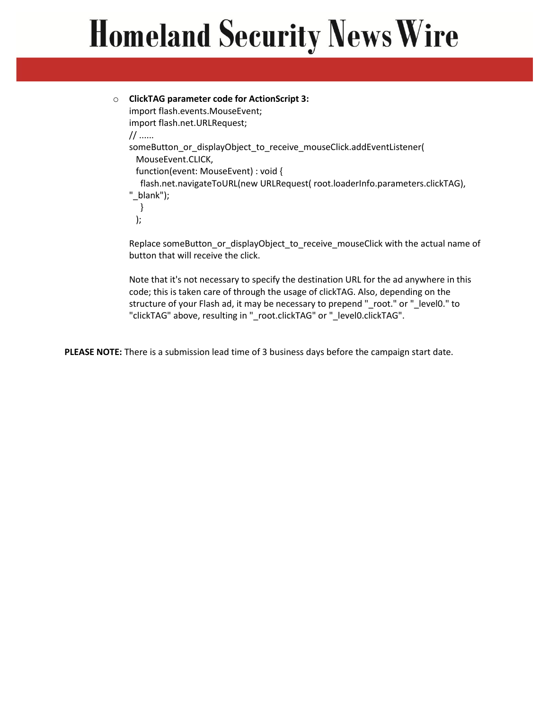# **Homeland Security News Wire**

```
o ClickTAG parameter code for ActionScript 3:
import flash.events.MouseEvent; 
import flash.net.URLRequest; 
// ...... 
someButton_or_displayObject_to_receive_mouseClick.addEventListener( 
   MouseEvent.CLICK, 
   function(event: MouseEvent) : void { 
    flash.net.navigateToURL(new URLRequest( root.loaderInfo.parameters.clickTAG), 
 "_blank"); 
    } 
   );
```
Replace someButton\_or\_displayObject\_to\_receive\_mouseClick with the actual name of button that will receive the click.

Note that it's not necessary to specify the destination URL for the ad anywhere in this code; this is taken care of through the usage of clickTAG. Also, depending on the structure of your Flash ad, it may be necessary to prepend "\_root." or "\_level0." to "clickTAG" above, resulting in "\_root.clickTAG" or "\_level0.clickTAG".

**PLEASE NOTE:** There is a submission lead time of 3 business days before the campaign start date.